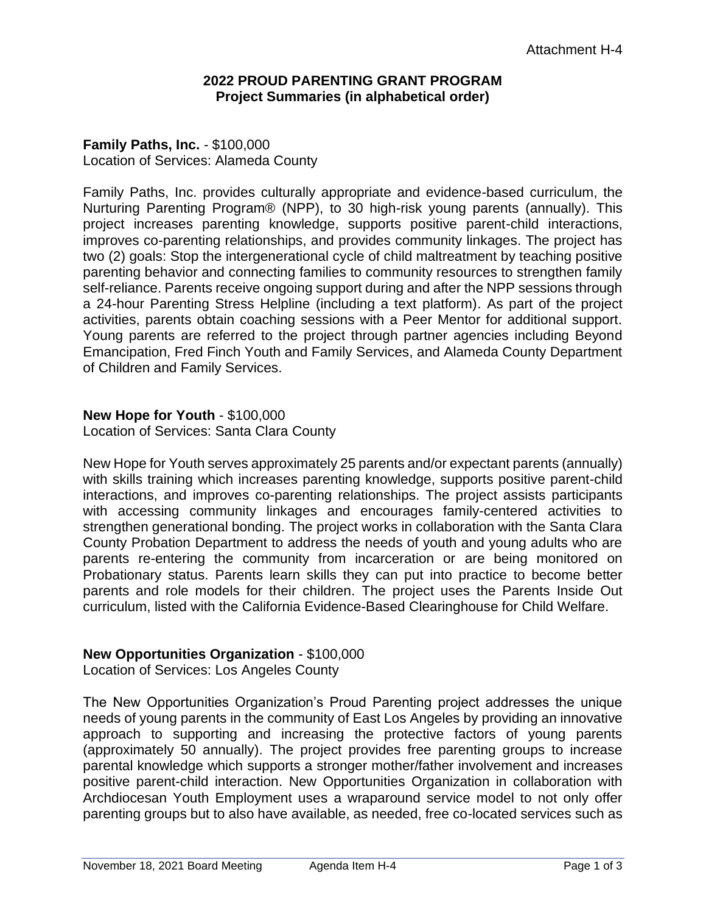### **2022 PROUD PARENTING GRANT PROGRAM Project Summaries (in alphabetical order)**

## **Family Paths, Inc.** - \$100,000 Location of Services: Alameda County

Family Paths, Inc. provides culturally appropriate and evidence-based curriculum, the Nurturing Parenting Program® (NPP), to 30 high-risk young parents (annually). This project increases parenting knowledge, supports positive parent-child interactions, improves co-parenting relationships, and provides community linkages. The project has two (2) goals: Stop the intergenerational cycle of child maltreatment by teaching positive parenting behavior and connecting families to community resources to strengthen family self-reliance. Parents receive ongoing support during and after the NPP sessions through a 24-hour Parenting Stress Helpline (including a text platform). As part of the project activities, parents obtain coaching sessions with a Peer Mentor for additional support. Young parents are referred to the project through partner agencies including Beyond Emancipation, Fred Finch Youth and Family Services, and Alameda County Department of Children and Family Services.

## **New Hope for Youth** - \$100,000

Location of Services: Santa Clara County

New Hope for Youth serves approximately 25 parents and/or expectant parents (annually) with skills training which increases parenting knowledge, supports positive parent-child interactions, and improves co-parenting relationships. The project assists participants with accessing community linkages and encourages family-centered activities to strengthen generational bonding. The project works in collaboration with the Santa Clara County Probation Department to address the needs of youth and young adults who are parents re-entering the community from incarceration or are being monitored on Probationary status. Parents learn skills they can put into practice to become better parents and role models for their children. The project uses the Parents Inside Out curriculum, listed with the California Evidence-Based Clearinghouse for Child Welfare.

## **New Opportunities Organization** - \$100,000

Location of Services: Los Angeles County

The New Opportunities Organization's Proud Parenting project addresses the unique needs of young parents in the community of East Los Angeles by providing an innovative approach to supporting and increasing the protective factors of young parents (approximately 50 annually). The project provides free parenting groups to increase parental knowledge which supports a stronger mother/father involvement and increases positive parent-child interaction. New Opportunities Organization in collaboration with Archdiocesan Youth Employment uses a wraparound service model to not only offer parenting groups but to also have available, as needed, free co-located services such as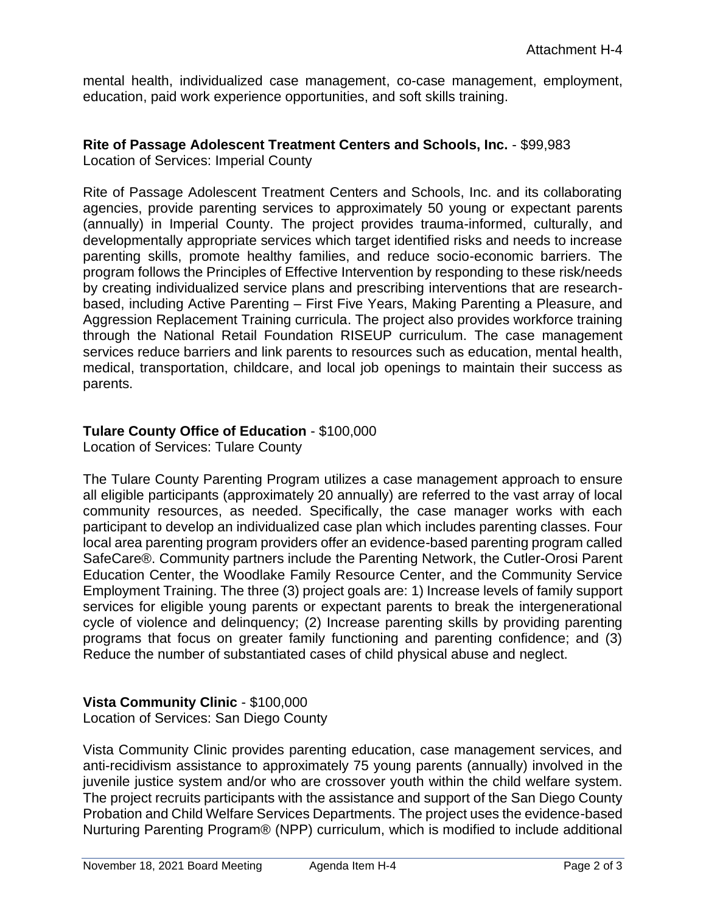mental health, individualized case management, co-case management, employment, education, paid work experience opportunities, and soft skills training.

#### **Rite of Passage Adolescent Treatment Centers and Schools, Inc.** - \$99,983 Location of Services: Imperial County

Rite of Passage Adolescent Treatment Centers and Schools, Inc. and its collaborating agencies, provide parenting services to approximately 50 young or expectant parents (annually) in Imperial County. The project provides trauma-informed, culturally, and developmentally appropriate services which target identified risks and needs to increase parenting skills, promote healthy families, and reduce socio-economic barriers. The program follows the Principles of Effective Intervention by responding to these risk/needs by creating individualized service plans and prescribing interventions that are researchbased, including Active Parenting – First Five Years, Making Parenting a Pleasure, and Aggression Replacement Training curricula. The project also provides workforce training through the National Retail Foundation RISEUP curriculum. The case management services reduce barriers and link parents to resources such as education, mental health, medical, transportation, childcare, and local job openings to maintain their success as parents.

# **Tulare County Office of Education** - \$100,000

Location of Services: Tulare County

The Tulare County Parenting Program utilizes a case management approach to ensure all eligible participants (approximately 20 annually) are referred to the vast array of local community resources, as needed. Specifically, the case manager works with each participant to develop an individualized case plan which includes parenting classes. Four local area parenting program providers offer an evidence-based parenting program called SafeCare®. Community partners include the Parenting Network, the Cutler-Orosi Parent Education Center, the Woodlake Family Resource Center, and the Community Service Employment Training. The three (3) project goals are: 1) Increase levels of family support services for eligible young parents or expectant parents to break the intergenerational cycle of violence and delinquency; (2) Increase parenting skills by providing parenting programs that focus on greater family functioning and parenting confidence; and (3) Reduce the number of substantiated cases of child physical abuse and neglect.

# **Vista Community Clinic** - \$100,000

Location of Services: San Diego County

Vista Community Clinic provides parenting education, case management services, and anti-recidivism assistance to approximately 75 young parents (annually) involved in the juvenile justice system and/or who are crossover youth within the child welfare system. The project recruits participants with the assistance and support of the San Diego County Probation and Child Welfare Services Departments. The project uses the evidence-based Nurturing Parenting Program® (NPP) curriculum, which is modified to include additional